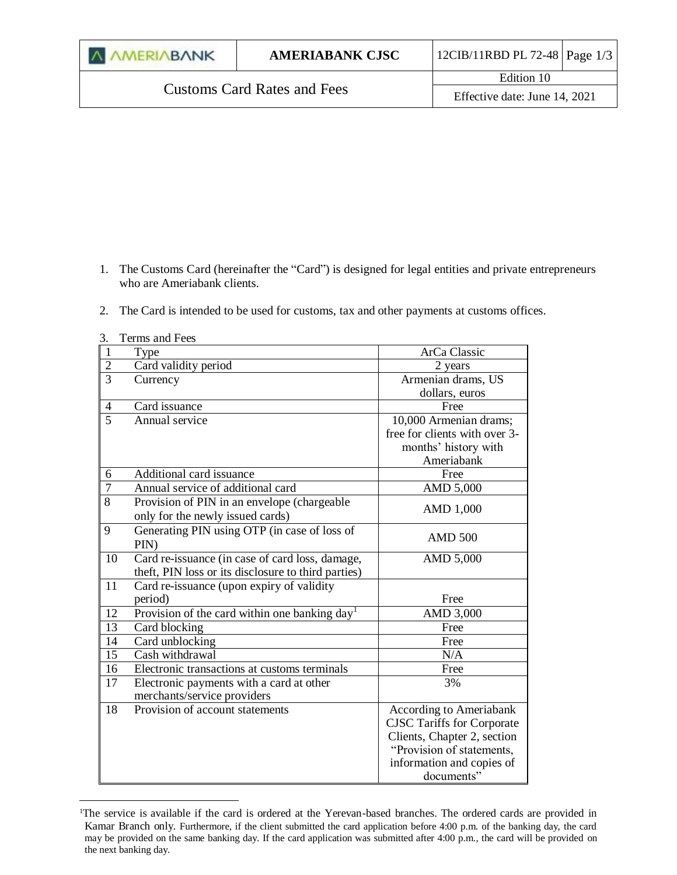| <b><i>A AMERIABANK</i></b>         | <b>AMERIABANK CJSC</b> | 12CIB/11RBD PL 72-48   Page $1/3$ |  |
|------------------------------------|------------------------|-----------------------------------|--|
| <b>Customs Card Rates and Fees</b> |                        | Edition 10                        |  |
|                                    |                        | Effective date: June 14, 2021     |  |

- 1. The Customs Card (hereinafter the "Card") is designed for legal entities and private entrepreneurs who are Ameriabank clients.
- 2. The Card is intended to be used for customs, tax and other payments at customs offices.

| J.             | TUTHIO ANU I UU                                           |                                   |
|----------------|-----------------------------------------------------------|-----------------------------------|
| $\mathbf{1}$   | Type                                                      | ArCa Classic                      |
| $\overline{2}$ | Card validity period                                      | 2 years                           |
| $\overline{3}$ | Currency                                                  | Armenian drams, US                |
|                |                                                           | dollars, euros                    |
| 4              | Card issuance                                             | Free                              |
| $\overline{5}$ | Annual service                                            | 10,000 Armenian drams;            |
|                |                                                           | free for clients with over 3-     |
|                |                                                           | months' history with              |
|                |                                                           | Ameriabank                        |
| 6              | Additional card issuance                                  | Free                              |
| $\overline{7}$ | Annual service of additional card                         | AMD 5,000                         |
| 8              | Provision of PIN in an envelope (chargeable               | AMD 1,000                         |
|                | only for the newly issued cards)                          |                                   |
| 9              | Generating PIN using OTP (in case of loss of              |                                   |
|                | PIN)                                                      | <b>AMD 500</b>                    |
| 10             | Card re-issuance (in case of card loss, damage,           | AMD 5,000                         |
|                | theft, PIN loss or its disclosure to third parties)       |                                   |
| 11             | Card re-issuance (upon expiry of validity                 |                                   |
|                | period)                                                   | Free                              |
| 12             | Provision of the card within one banking day <sup>1</sup> | AMD 3,000                         |
| 13             | Card blocking                                             | Free                              |
| 14             | Card unblocking                                           | Free                              |
| 15             | Cash withdrawal                                           | N/A                               |
| 16             | Electronic transactions at customs terminals              | Free                              |
| 17             | Electronic payments with a card at other                  | 3%                                |
|                | merchants/service providers                               |                                   |
| 18             | Provision of account statements                           | <b>According to Ameriabank</b>    |
|                |                                                           | <b>CJSC Tariffs for Corporate</b> |
|                |                                                           | Clients, Chapter 2, section       |
|                |                                                           | "Provision of statements,         |
|                |                                                           | information and copies of         |
|                |                                                           | documents"                        |

3. Terms and Fees

 $\overline{a}$ 

<sup>&</sup>lt;sup>1</sup>The service is available if the card is ordered at the Yerevan-based branches. The ordered cards are provided in Kamar Branch only. Furthermore, if the client submitted the card application before 4:00 p.m. of the banking day, the card may be provided on the same banking day. If the card application was submitted after 4:00 p.m., the card will be provided on the next banking day.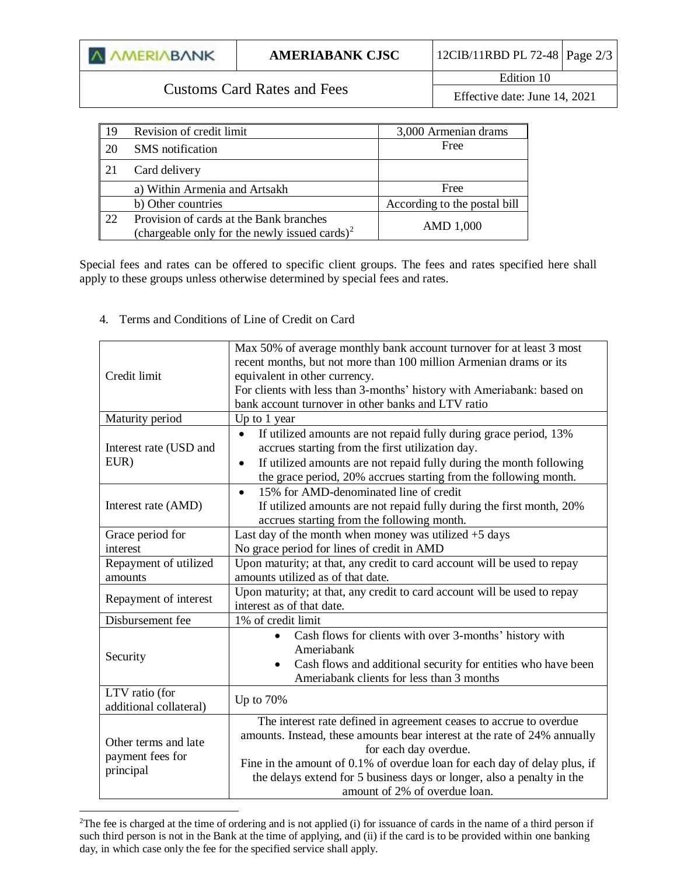| 12CIB/11RBD PL 72-48   Page $2/3$  <br><b>A AMERIABANK</b><br><b>AMERIABANK CJSC</b> |  |
|--------------------------------------------------------------------------------------|--|
|--------------------------------------------------------------------------------------|--|

## Customs Card Rates and Fees

Edition 10 Effective date: June 14, 2021

| -19 | Revision of credit limit                                                                             | 3,000 Armenian drams         |
|-----|------------------------------------------------------------------------------------------------------|------------------------------|
| 20  | <b>SMS</b> notification                                                                              | Free                         |
| 21  | Card delivery                                                                                        |                              |
|     | a) Within Armenia and Artsakh                                                                        | Free                         |
|     | b) Other countries                                                                                   | According to the postal bill |
| 22  | Provision of cards at the Bank branches<br>(chargeable only for the newly issued cards) <sup>2</sup> | AMD 1,000                    |

Special fees and rates can be offered to specific client groups. The fees and rates specified here shall apply to these groups unless otherwise determined by special fees and rates.

## 4. Terms and Conditions of Line of Credit on Card

 $\overline{a}$ 

| Credit limit                                          | Max 50% of average monthly bank account turnover for at least 3 most<br>recent months, but not more than 100 million Armenian drams or its<br>equivalent in other currency.<br>For clients with less than 3-months' history with Ameriabank: based on                                                                                                            |  |
|-------------------------------------------------------|------------------------------------------------------------------------------------------------------------------------------------------------------------------------------------------------------------------------------------------------------------------------------------------------------------------------------------------------------------------|--|
|                                                       | bank account turnover in other banks and LTV ratio                                                                                                                                                                                                                                                                                                               |  |
| Maturity period                                       | Up to 1 year                                                                                                                                                                                                                                                                                                                                                     |  |
| Interest rate (USD and<br>EUR)                        | If utilized amounts are not repaid fully during grace period, 13%<br>$\bullet$<br>accrues starting from the first utilization day.<br>If utilized amounts are not repaid fully during the month following<br>$\bullet$<br>the grace period, 20% accrues starting from the following month.                                                                       |  |
| Interest rate (AMD)                                   | 15% for AMD-denominated line of credit<br>$\bullet$<br>If utilized amounts are not repaid fully during the first month, 20%<br>accrues starting from the following month.                                                                                                                                                                                        |  |
| Grace period for                                      | Last day of the month when money was utilized $+5$ days                                                                                                                                                                                                                                                                                                          |  |
| interest                                              | No grace period for lines of credit in AMD                                                                                                                                                                                                                                                                                                                       |  |
| Repayment of utilized                                 | Upon maturity; at that, any credit to card account will be used to repay                                                                                                                                                                                                                                                                                         |  |
| amounts                                               | amounts utilized as of that date.                                                                                                                                                                                                                                                                                                                                |  |
| Repayment of interest                                 | Upon maturity; at that, any credit to card account will be used to repay<br>interest as of that date.                                                                                                                                                                                                                                                            |  |
| Disbursement fee                                      | 1% of credit limit                                                                                                                                                                                                                                                                                                                                               |  |
| Security                                              | Cash flows for clients with over 3-months' history with<br>Ameriabank<br>Cash flows and additional security for entities who have been<br>Ameriabank clients for less than 3 months                                                                                                                                                                              |  |
| LTV ratio (for<br>additional collateral)              | Up to 70%                                                                                                                                                                                                                                                                                                                                                        |  |
| Other terms and late<br>payment fees for<br>principal | The interest rate defined in agreement ceases to accrue to overdue<br>amounts. Instead, these amounts bear interest at the rate of 24% annually<br>for each day overdue.<br>Fine in the amount of 0.1% of overdue loan for each day of delay plus, if<br>the delays extend for 5 business days or longer, also a penalty in the<br>amount of 2% of overdue loan. |  |

 $2$ The fee is charged at the time of ordering and is not applied (i) for issuance of cards in the name of a third person if such third person is not in the Bank at the time of applying, and (ii) if the card is to be provided within one banking day, in which case only the fee for the specified service shall apply.